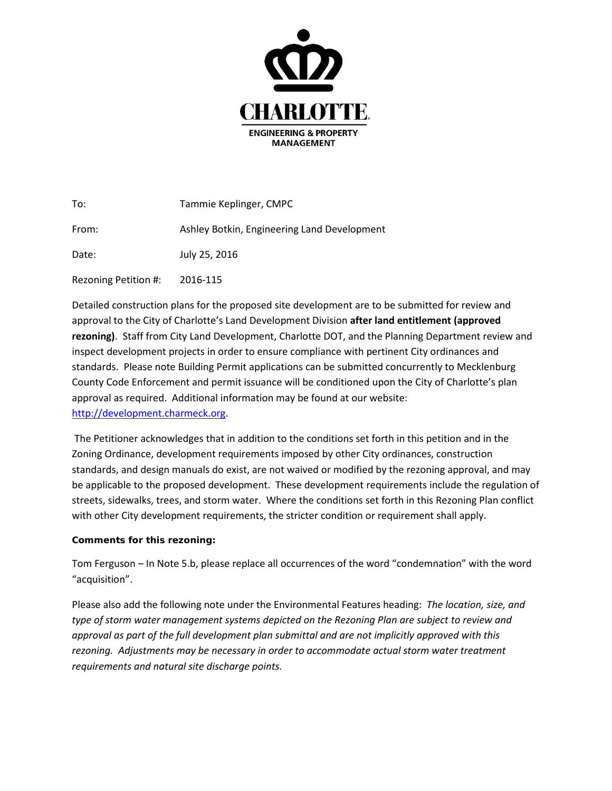

| To:                  | Tammie Keplinger, CMPC                      |
|----------------------|---------------------------------------------|
| From:                | Ashley Botkin, Engineering Land Development |
| Date:                | July 25, 2016                               |
| Rezoning Petition #: | 2016-115                                    |

Detailed construction plans for the proposed site development are to be submitted for review and approval to the City of Charlotte's Land Development Division **after land entitlement (approved rezoning)**. Staff from City Land Development, Charlotte DOT, and the Planning Department review and inspect development projects in order to ensure compliance with pertinent City ordinances and standards. Please note Building Permit applications can be submitted concurrently to Mecklenburg County Code Enforcement and permit issuance will be conditioned upon the City of Charlotte's plan approval as required. Additional information may be found at our website: [http://development.charmeck.org.](http://development.charmeck.org/)

The Petitioner acknowledges that in addition to the conditions set forth in this petition and in the Zoning Ordinance, development requirements imposed by other City ordinances, construction standards, and design manuals do exist, are not waived or modified by the rezoning approval, and may be applicable to the proposed development. These development requirements include the regulation of streets, sidewalks, trees, and storm water. Where the conditions set forth in this Rezoning Plan conflict with other City development requirements, the stricter condition or requirement shall apply.

## **Comments for this rezoning:**

Tom Ferguson – In Note 5.b, please replace all occurrences of the word "condemnation" with the word "acquisition".

Please also add the following note under the Environmental Features heading: *The location, size, and type of storm water management systems depicted on the Rezoning Plan are subject to review and approval as part of the full development plan submittal and are not implicitly approved with this rezoning. Adjustments may be necessary in order to accommodate actual storm water treatment requirements and natural site discharge points.*